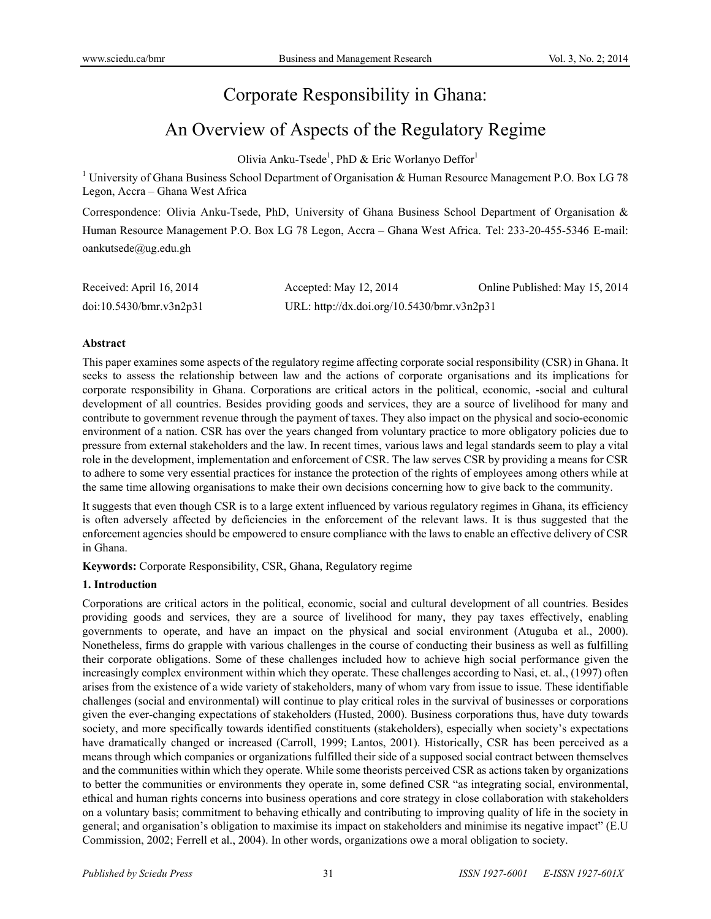## Corporate Responsibility in Ghana:

# An Overview of Aspects of the Regulatory Regime

Olivia Anku-Tsede<sup>1</sup>, PhD & Eric Worlanyo Deffor<sup>1</sup>

<sup>1</sup> University of Ghana Business School Department of Organisation & Human Resource Management P.O. Box LG 78 Legon, Accra – Ghana West Africa

Correspondence: Olivia Anku-Tsede, PhD, University of Ghana Business School Department of Organisation & Human Resource Management P.O. Box LG 78 Legon, Accra – Ghana West Africa. Tel: 233-20-455-5346 E-mail: oankutsede@ug.edu.gh

| Received: April 16, 2014 | Accepted: May 12, 2014                     | Online Published: May 15, 2014 |
|--------------------------|--------------------------------------------|--------------------------------|
| doi:10.5430/bmr.v3n2p31  | URL: http://dx.doi.org/10.5430/bmr.v3n2p31 |                                |

#### **Abstract**

This paper examines some aspects of the regulatory regime affecting corporate social responsibility (CSR) in Ghana. It seeks to assess the relationship between law and the actions of corporate organisations and its implications for corporate responsibility in Ghana. Corporations are critical actors in the political, economic, -social and cultural development of all countries. Besides providing goods and services, they are a source of livelihood for many and contribute to government revenue through the payment of taxes. They also impact on the physical and socio-economic environment of a nation. CSR has over the years changed from voluntary practice to more obligatory policies due to pressure from external stakeholders and the law. In recent times, various laws and legal standards seem to play a vital role in the development, implementation and enforcement of CSR. The law serves CSR by providing a means for CSR to adhere to some very essential practices for instance the protection of the rights of employees among others while at the same time allowing organisations to make their own decisions concerning how to give back to the community.

It suggests that even though CSR is to a large extent influenced by various regulatory regimes in Ghana, its efficiency is often adversely affected by deficiencies in the enforcement of the relevant laws. It is thus suggested that the enforcement agencies should be empowered to ensure compliance with the laws to enable an effective delivery of CSR in Ghana.

**Keywords:** Corporate Responsibility, CSR, Ghana, Regulatory regime

#### **1. Introduction**

Corporations are critical actors in the political, economic, social and cultural development of all countries. Besides providing goods and services, they are a source of livelihood for many, they pay taxes effectively, enabling governments to operate, and have an impact on the physical and social environment (Atuguba et al., 2000). Nonetheless, firms do grapple with various challenges in the course of conducting their business as well as fulfilling their corporate obligations. Some of these challenges included how to achieve high social performance given the increasingly complex environment within which they operate. These challenges according to Nasi, et. al., (1997) often arises from the existence of a wide variety of stakeholders, many of whom vary from issue to issue. These identifiable challenges (social and environmental) will continue to play critical roles in the survival of businesses or corporations given the ever-changing expectations of stakeholders (Husted, 2000). Business corporations thus, have duty towards society, and more specifically towards identified constituents (stakeholders), especially when society's expectations have dramatically changed or increased (Carroll, 1999; Lantos, 2001). Historically, CSR has been perceived as a means through which companies or organizations fulfilled their side of a supposed social contract between themselves and the communities within which they operate. While some theorists perceived CSR as actions taken by organizations to better the communities or environments they operate in, some defined CSR "as integrating social, environmental, ethical and human rights concerns into business operations and core strategy in close collaboration with stakeholders on a voluntary basis; commitment to behaving ethically and contributing to improving quality of life in the society in general; and organisation's obligation to maximise its impact on stakeholders and minimise its negative impact" (E.U Commission, 2002; Ferrell et al., 2004). In other words, organizations owe a moral obligation to society.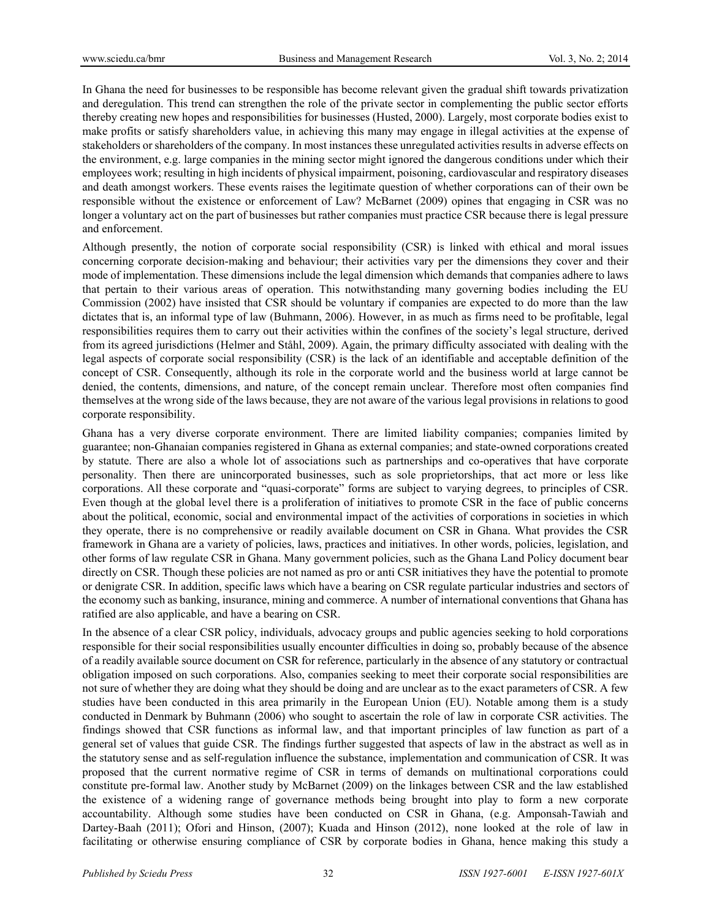In Ghana the need for businesses to be responsible has become relevant given the gradual shift towards privatization and deregulation. This trend can strengthen the role of the private sector in complementing the public sector efforts thereby creating new hopes and responsibilities for businesses (Husted, 2000). Largely, most corporate bodies exist to make profits or satisfy shareholders value, in achieving this many may engage in illegal activities at the expense of stakeholders or shareholders of the company. In most instances these unregulated activities results in adverse effects on the environment, e.g. large companies in the mining sector might ignored the dangerous conditions under which their employees work; resulting in high incidents of physical impairment, poisoning, cardiovascular and respiratory diseases and death amongst workers. These events raises the legitimate question of whether corporations can of their own be responsible without the existence or enforcement of Law? McBarnet (2009) opines that engaging in CSR was no longer a voluntary act on the part of businesses but rather companies must practice CSR because there is legal pressure and enforcement.

Although presently, the notion of corporate social responsibility (CSR) is linked with ethical and moral issues concerning corporate decision-making and behaviour; their activities vary per the dimensions they cover and their mode of implementation. These dimensions include the legal dimension which demands that companies adhere to laws that pertain to their various areas of operation. This notwithstanding many governing bodies including the EU Commission (2002) have insisted that CSR should be voluntary if companies are expected to do more than the law dictates that is, an informal type of law (Buhmann, 2006). However, in as much as firms need to be profitable, legal responsibilities requires them to carry out their activities within the confines of the society's legal structure, derived from its agreed jurisdictions (Helmer and Ståhl, 2009). Again, the primary difficulty associated with dealing with the legal aspects of corporate social responsibility (CSR) is the lack of an identifiable and acceptable definition of the concept of CSR. Consequently, although its role in the corporate world and the business world at large cannot be denied, the contents, dimensions, and nature, of the concept remain unclear. Therefore most often companies find themselves at the wrong side of the laws because, they are not aware of the various legal provisions in relations to good corporate responsibility.

Ghana has a very diverse corporate environment. There are limited liability companies; companies limited by guarantee; non-Ghanaian companies registered in Ghana as external companies; and state-owned corporations created by statute. There are also a whole lot of associations such as partnerships and co-operatives that have corporate personality. Then there are unincorporated businesses, such as sole proprietorships, that act more or less like corporations. All these corporate and "quasi-corporate" forms are subject to varying degrees, to principles of CSR. Even though at the global level there is a proliferation of initiatives to promote CSR in the face of public concerns about the political, economic, social and environmental impact of the activities of corporations in societies in which they operate, there is no comprehensive or readily available document on CSR in Ghana. What provides the CSR framework in Ghana are a variety of policies, laws, practices and initiatives. In other words, policies, legislation, and other forms of law regulate CSR in Ghana. Many government policies, such as the Ghana Land Policy document bear directly on CSR. Though these policies are not named as pro or anti CSR initiatives they have the potential to promote or denigrate CSR. In addition, specific laws which have a bearing on CSR regulate particular industries and sectors of the economy such as banking, insurance, mining and commerce. A number of international conventions that Ghana has ratified are also applicable, and have a bearing on CSR.

In the absence of a clear CSR policy, individuals, advocacy groups and public agencies seeking to hold corporations responsible for their social responsibilities usually encounter difficulties in doing so, probably because of the absence of a readily available source document on CSR for reference, particularly in the absence of any statutory or contractual obligation imposed on such corporations. Also, companies seeking to meet their corporate social responsibilities are not sure of whether they are doing what they should be doing and are unclear as to the exact parameters of CSR. A few studies have been conducted in this area primarily in the European Union (EU). Notable among them is a study conducted in Denmark by Buhmann (2006) who sought to ascertain the role of law in corporate CSR activities. The findings showed that CSR functions as informal law, and that important principles of law function as part of a general set of values that guide CSR. The findings further suggested that aspects of law in the abstract as well as in the statutory sense and as self-regulation influence the substance, implementation and communication of CSR. It was proposed that the current normative regime of CSR in terms of demands on multinational corporations could constitute pre-formal law. Another study by McBarnet (2009) on the linkages between CSR and the law established the existence of a widening range of governance methods being brought into play to form a new corporate accountability. Although some studies have been conducted on CSR in Ghana, (e.g. Amponsah-Tawiah and Dartey-Baah (2011); Ofori and Hinson, (2007); Kuada and Hinson (2012), none looked at the role of law in facilitating or otherwise ensuring compliance of CSR by corporate bodies in Ghana, hence making this study a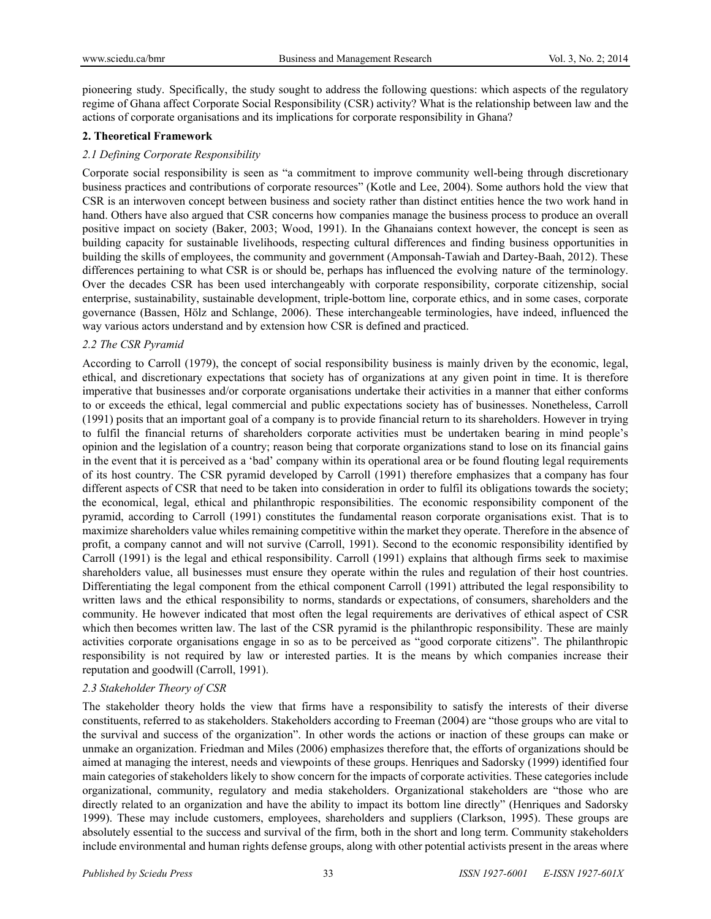pioneering study. Specifically, the study sought to address the following questions: which aspects of the regulatory regime of Ghana affect Corporate Social Responsibility (CSR) activity? What is the relationship between law and the actions of corporate organisations and its implications for corporate responsibility in Ghana?

### **2. Theoretical Framework**

## *2.1 Defining Corporate Responsibility*

Corporate social responsibility is seen as "a commitment to improve community well-being through discretionary business practices and contributions of corporate resources" (Kotle and Lee, 2004). Some authors hold the view that CSR is an interwoven concept between business and society rather than distinct entities hence the two work hand in hand. Others have also argued that CSR concerns how companies manage the business process to produce an overall positive impact on society (Baker, 2003; Wood, 1991). In the Ghanaians context however, the concept is seen as building capacity for sustainable livelihoods, respecting cultural differences and finding business opportunities in building the skills of employees, the community and government (Amponsah-Tawiah and Dartey-Baah, 2012). These differences pertaining to what CSR is or should be, perhaps has influenced the evolving nature of the terminology. Over the decades CSR has been used interchangeably with corporate responsibility, corporate citizenship, social enterprise, sustainability, sustainable development, triple-bottom line, corporate ethics, and in some cases, corporate governance (Bassen, Hölz and Schlange, 2006). These interchangeable terminologies, have indeed, influenced the way various actors understand and by extension how CSR is defined and practiced.

## *2.2 The CSR Pyramid*

According to Carroll (1979), the concept of social responsibility business is mainly driven by the economic, legal, ethical, and discretionary expectations that society has of organizations at any given point in time. It is therefore imperative that businesses and/or corporate organisations undertake their activities in a manner that either conforms to or exceeds the ethical, legal commercial and public expectations society has of businesses. Nonetheless, Carroll (1991) posits that an important goal of a company is to provide financial return to its shareholders. However in trying to fulfil the financial returns of shareholders corporate activities must be undertaken bearing in mind people's opinion and the legislation of a country; reason being that corporate organizations stand to lose on its financial gains in the event that it is perceived as a 'bad' company within its operational area or be found flouting legal requirements of its host country. The CSR pyramid developed by Carroll (1991) therefore emphasizes that a company has four different aspects of CSR that need to be taken into consideration in order to fulfil its obligations towards the society; the economical, legal, ethical and philanthropic responsibilities. The economic responsibility component of the pyramid, according to Carroll (1991) constitutes the fundamental reason corporate organisations exist. That is to maximize shareholders value whiles remaining competitive within the market they operate. Therefore in the absence of profit, a company cannot and will not survive (Carroll, 1991). Second to the economic responsibility identified by Carroll (1991) is the legal and ethical responsibility. Carroll (1991) explains that although firms seek to maximise shareholders value, all businesses must ensure they operate within the rules and regulation of their host countries. Differentiating the legal component from the ethical component Carroll (1991) attributed the legal responsibility to written laws and the ethical responsibility to norms, standards or expectations, of consumers, shareholders and the community. He however indicated that most often the legal requirements are derivatives of ethical aspect of CSR which then becomes written law. The last of the CSR pyramid is the philanthropic responsibility. These are mainly activities corporate organisations engage in so as to be perceived as "good corporate citizens". The philanthropic responsibility is not required by law or interested parties. It is the means by which companies increase their reputation and goodwill (Carroll, 1991).

#### *2.3 Stakeholder Theory of CSR*

The stakeholder theory holds the view that firms have a responsibility to satisfy the interests of their diverse constituents, referred to as stakeholders. Stakeholders according to Freeman (2004) are "those groups who are vital to the survival and success of the organization". In other words the actions or inaction of these groups can make or unmake an organization. Friedman and Miles (2006) emphasizes therefore that, the efforts of organizations should be aimed at managing the interest, needs and viewpoints of these groups. Henriques and Sadorsky (1999) identified four main categories of stakeholders likely to show concern for the impacts of corporate activities. These categories include organizational, community, regulatory and media stakeholders. Organizational stakeholders are "those who are directly related to an organization and have the ability to impact its bottom line directly" (Henriques and Sadorsky 1999). These may include customers, employees, shareholders and suppliers (Clarkson, 1995). These groups are absolutely essential to the success and survival of the firm, both in the short and long term. Community stakeholders include environmental and human rights defense groups, along with other potential activists present in the areas where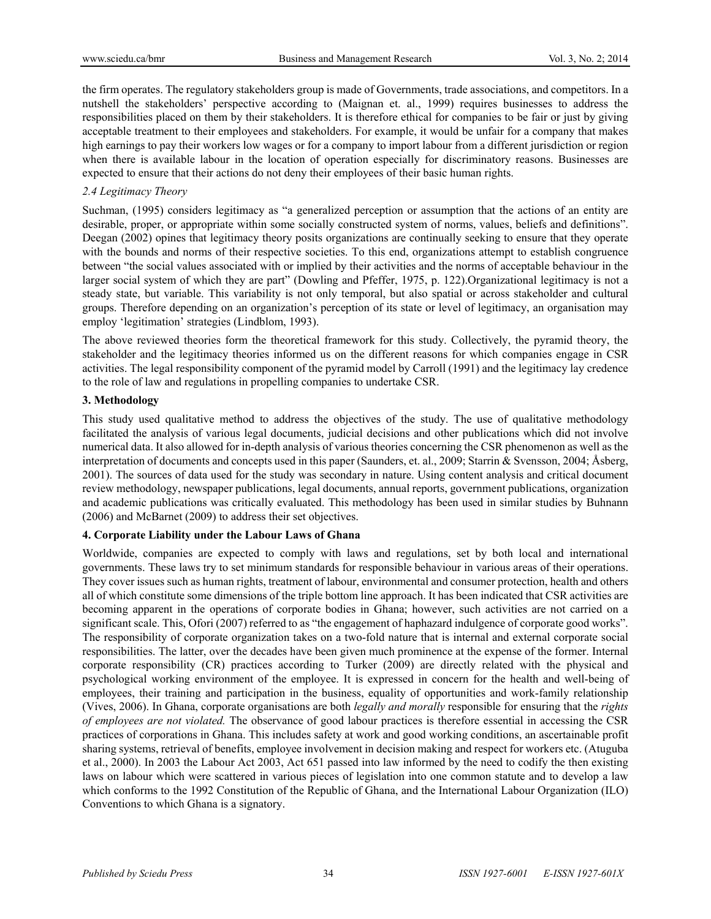the firm operates. The regulatory stakeholders group is made of Governments, trade associations, and competitors. In a nutshell the stakeholders' perspective according to (Maignan et. al., 1999) requires businesses to address the responsibilities placed on them by their stakeholders. It is therefore ethical for companies to be fair or just by giving acceptable treatment to their employees and stakeholders. For example, it would be unfair for a company that makes high earnings to pay their workers low wages or for a company to import labour from a different jurisdiction or region when there is available labour in the location of operation especially for discriminatory reasons. Businesses are expected to ensure that their actions do not deny their employees of their basic human rights.

## *2.4 Legitimacy Theory*

Suchman, (1995) considers legitimacy as "a generalized perception or assumption that the actions of an entity are desirable, proper, or appropriate within some socially constructed system of norms, values, beliefs and definitions". Deegan (2002) opines that legitimacy theory posits organizations are continually seeking to ensure that they operate with the bounds and norms of their respective societies. To this end, organizations attempt to establish congruence between "the social values associated with or implied by their activities and the norms of acceptable behaviour in the larger social system of which they are part" (Dowling and Pfeffer, 1975, p. 122).Organizational legitimacy is not a steady state, but variable. This variability is not only temporal, but also spatial or across stakeholder and cultural groups. Therefore depending on an organization's perception of its state or level of legitimacy, an organisation may employ 'legitimation' strategies (Lindblom, 1993).

The above reviewed theories form the theoretical framework for this study. Collectively, the pyramid theory, the stakeholder and the legitimacy theories informed us on the different reasons for which companies engage in CSR activities. The legal responsibility component of the pyramid model by Carroll (1991) and the legitimacy lay credence to the role of law and regulations in propelling companies to undertake CSR.

#### **3. Methodology**

This study used qualitative method to address the objectives of the study. The use of qualitative methodology facilitated the analysis of various legal documents, judicial decisions and other publications which did not involve numerical data. It also allowed for in-depth analysis of various theories concerning the CSR phenomenon as well as the interpretation of documents and concepts used in this paper (Saunders, et. al., 2009; Starrin & Svensson, 2004; Åsberg, 2001). The sources of data used for the study was secondary in nature. Using content analysis and critical document review methodology, newspaper publications, legal documents, annual reports, government publications, organization and academic publications was critically evaluated. This methodology has been used in similar studies by Buhnann (2006) and McBarnet (2009) to address their set objectives.

#### **4. Corporate Liability under the Labour Laws of Ghana**

Worldwide, companies are expected to comply with laws and regulations, set by both local and international governments. These laws try to set minimum standards for responsible behaviour in various areas of their operations. They cover issues such as human rights, treatment of labour, environmental and consumer protection, health and others all of which constitute some dimensions of the triple bottom line approach. It has been indicated that CSR activities are becoming apparent in the operations of corporate bodies in Ghana; however, such activities are not carried on a significant scale. This, Ofori (2007) referred to as "the engagement of haphazard indulgence of corporate good works". The responsibility of corporate organization takes on a two-fold nature that is internal and external corporate social responsibilities. The latter, over the decades have been given much prominence at the expense of the former. Internal corporate responsibility (CR) practices according to Turker (2009) are directly related with the physical and psychological working environment of the employee. It is expressed in concern for the health and well-being of employees, their training and participation in the business, equality of opportunities and work-family relationship (Vives, 2006). In Ghana, corporate organisations are both *legally and morally* responsible for ensuring that the *rights of employees are not violated.* The observance of good labour practices is therefore essential in accessing the CSR practices of corporations in Ghana. This includes safety at work and good working conditions, an ascertainable profit sharing systems, retrieval of benefits, employee involvement in decision making and respect for workers etc. (Atuguba et al., 2000). In 2003 the Labour Act 2003, Act 651 passed into law informed by the need to codify the then existing laws on labour which were scattered in various pieces of legislation into one common statute and to develop a law which conforms to the 1992 Constitution of the Republic of Ghana, and the International Labour Organization (ILO) Conventions to which Ghana is a signatory.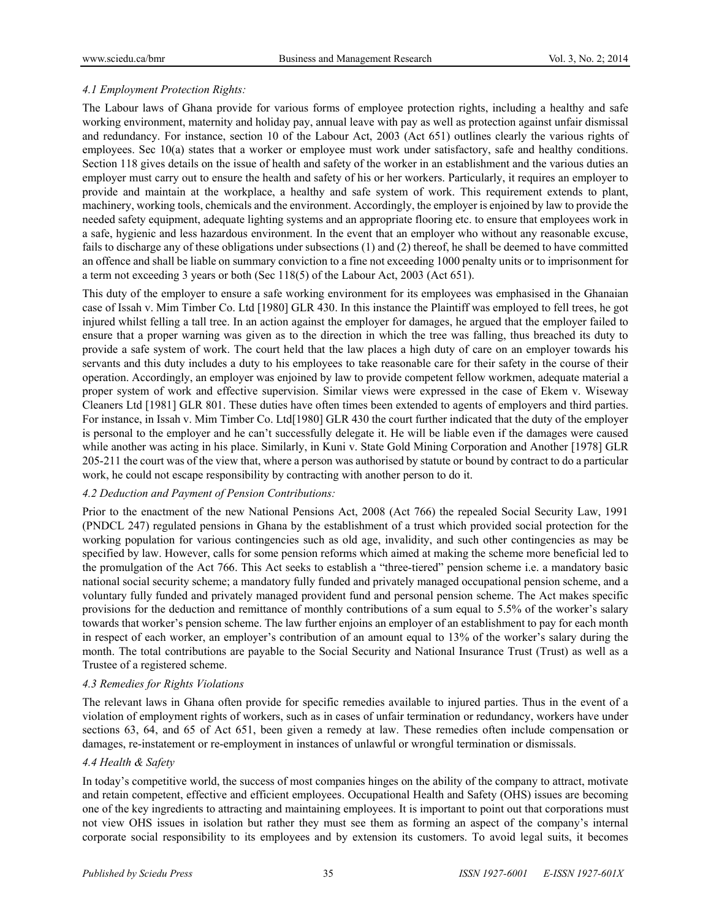## *4.1 Employment Protection Rights:*

The Labour laws of Ghana provide for various forms of employee protection rights, including a healthy and safe working environment, maternity and holiday pay, annual leave with pay as well as protection against unfair dismissal and redundancy. For instance, section 10 of the Labour Act, 2003 (Act 651) outlines clearly the various rights of employees. Sec 10(a) states that a worker or employee must work under satisfactory, safe and healthy conditions. Section 118 gives details on the issue of health and safety of the worker in an establishment and the various duties an employer must carry out to ensure the health and safety of his or her workers. Particularly, it requires an employer to provide and maintain at the workplace, a healthy and safe system of work. This requirement extends to plant, machinery, working tools, chemicals and the environment. Accordingly, the employer is enjoined by law to provide the needed safety equipment, adequate lighting systems and an appropriate flooring etc. to ensure that employees work in a safe, hygienic and less hazardous environment. In the event that an employer who without any reasonable excuse, fails to discharge any of these obligations under subsections (1) and (2) thereof, he shall be deemed to have committed an offence and shall be liable on summary conviction to a fine not exceeding 1000 penalty units or to imprisonment for a term not exceeding 3 years or both (Sec 118(5) of the Labour Act, 2003 (Act 651).

This duty of the employer to ensure a safe working environment for its employees was emphasised in the Ghanaian case of Issah v. Mim Timber Co. Ltd [1980] GLR 430. In this instance the Plaintiff was employed to fell trees, he got injured whilst felling a tall tree. In an action against the employer for damages, he argued that the employer failed to ensure that a proper warning was given as to the direction in which the tree was falling, thus breached its duty to provide a safe system of work. The court held that the law places a high duty of care on an employer towards his servants and this duty includes a duty to his employees to take reasonable care for their safety in the course of their operation. Accordingly, an employer was enjoined by law to provide competent fellow workmen, adequate material a proper system of work and effective supervision. Similar views were expressed in the case of Ekem v. Wiseway Cleaners Ltd [1981] GLR 801. These duties have often times been extended to agents of employers and third parties. For instance, in Issah v. Mim Timber Co. Ltd[1980] GLR 430 the court further indicated that the duty of the employer is personal to the employer and he can't successfully delegate it. He will be liable even if the damages were caused while another was acting in his place. Similarly, in Kuni v. State Gold Mining Corporation and Another [1978] GLR 205-211 the court was of the view that, where a person was authorised by statute or bound by contract to do a particular work, he could not escape responsibility by contracting with another person to do it.

#### *4.2 Deduction and Payment of Pension Contributions:*

Prior to the enactment of the new National Pensions Act, 2008 (Act 766) the repealed Social Security Law, 1991 (PNDCL 247) regulated pensions in Ghana by the establishment of a trust which provided social protection for the working population for various contingencies such as old age, invalidity, and such other contingencies as may be specified by law. However, calls for some pension reforms which aimed at making the scheme more beneficial led to the promulgation of the Act 766. This Act seeks to establish a "three-tiered" pension scheme i.e. a mandatory basic national social security scheme; a mandatory fully funded and privately managed occupational pension scheme, and a voluntary fully funded and privately managed provident fund and personal pension scheme. The Act makes specific provisions for the deduction and remittance of monthly contributions of a sum equal to 5.5% of the worker's salary towards that worker's pension scheme. The law further enjoins an employer of an establishment to pay for each month in respect of each worker, an employer's contribution of an amount equal to 13% of the worker's salary during the month. The total contributions are payable to the Social Security and National Insurance Trust (Trust) as well as a Trustee of a registered scheme.

#### *4.3 Remedies for Rights Violations*

The relevant laws in Ghana often provide for specific remedies available to injured parties. Thus in the event of a violation of employment rights of workers, such as in cases of unfair termination or redundancy, workers have under sections 63, 64, and 65 of Act 651, been given a remedy at law. These remedies often include compensation or damages, re-instatement or re-employment in instances of unlawful or wrongful termination or dismissals.

#### *4.4 Health & Safety*

In today's competitive world, the success of most companies hinges on the ability of the company to attract, motivate and retain competent, effective and efficient employees. Occupational Health and Safety (OHS) issues are becoming one of the key ingredients to attracting and maintaining employees. It is important to point out that corporations must not view OHS issues in isolation but rather they must see them as forming an aspect of the company's internal corporate social responsibility to its employees and by extension its customers. To avoid legal suits, it becomes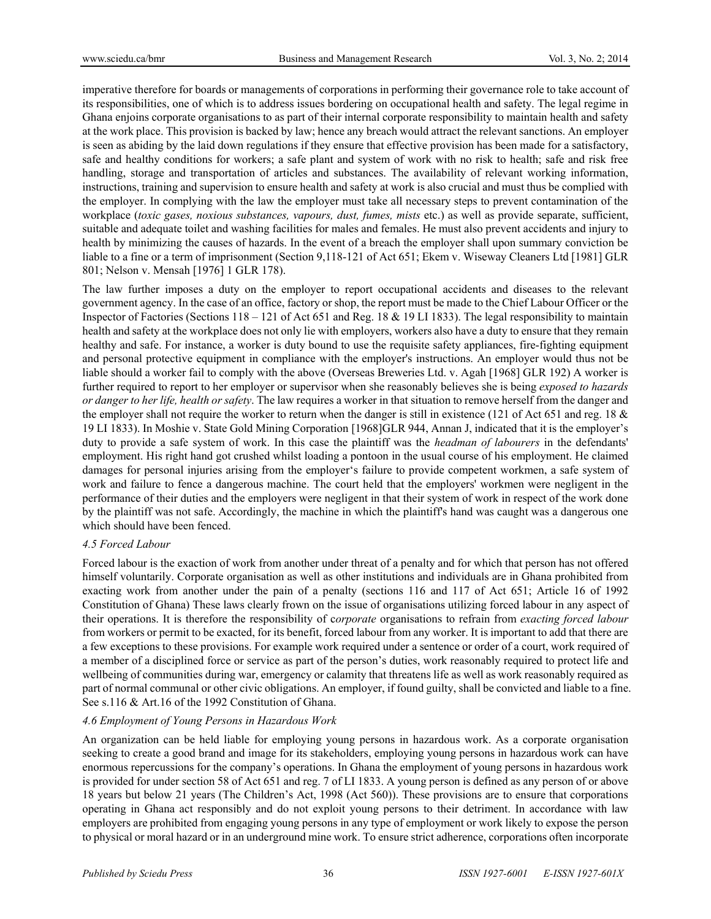imperative therefore for boards or managements of corporations in performing their governance role to take account of its responsibilities, one of which is to address issues bordering on occupational health and safety. The legal regime in Ghana enjoins corporate organisations to as part of their internal corporate responsibility to maintain health and safety at the work place. This provision is backed by law; hence any breach would attract the relevant sanctions. An employer is seen as abiding by the laid down regulations if they ensure that effective provision has been made for a satisfactory, safe and healthy conditions for workers; a safe plant and system of work with no risk to health; safe and risk free handling, storage and transportation of articles and substances. The availability of relevant working information, instructions, training and supervision to ensure health and safety at work is also crucial and must thus be complied with the employer. In complying with the law the employer must take all necessary steps to prevent contamination of the workplace (*toxic gases, noxious substances, vapours, dust, fumes, mists* etc.) as well as provide separate, sufficient, suitable and adequate toilet and washing facilities for males and females. He must also prevent accidents and injury to health by minimizing the causes of hazards. In the event of a breach the employer shall upon summary conviction be liable to a fine or a term of imprisonment (Section 9,118-121 of Act 651; Ekem v. Wiseway Cleaners Ltd [1981] GLR 801; Nelson v. Mensah [1976] 1 GLR 178).

The law further imposes a duty on the employer to report occupational accidents and diseases to the relevant government agency. In the case of an office, factory or shop, the report must be made to the Chief Labour Officer or the Inspector of Factories (Sections 118 – 121 of Act 651 and Reg. 18 & 19 LI 1833). The legal responsibility to maintain health and safety at the workplace does not only lie with employers, workers also have a duty to ensure that they remain healthy and safe. For instance, a worker is duty bound to use the requisite safety appliances, fire-fighting equipment and personal protective equipment in compliance with the employer's instructions. An employer would thus not be liable should a worker fail to comply with the above (Overseas Breweries Ltd. v. Agah [1968] GLR 192) A worker is further required to report to her employer or supervisor when she reasonably believes she is being *exposed to hazards or danger to her life, health or safety*. The law requires a worker in that situation to remove herself from the danger and the employer shall not require the worker to return when the danger is still in existence (121 of Act 651 and reg. 18 & 19 LI 1833). In Moshie v. State Gold Mining Corporation [1968]GLR 944, Annan J, indicated that it is the employer's duty to provide a safe system of work. In this case the plaintiff was the *headman of labourers* in the defendants' employment. His right hand got crushed whilst loading a pontoon in the usual course of his employment. He claimed damages for personal injuries arising from the employer's failure to provide competent workmen, a safe system of work and failure to fence a dangerous machine. The court held that the employers' workmen were negligent in the performance of their duties and the employers were negligent in that their system of work in respect of the work done by the plaintiff was not safe. Accordingly, the machine in which the plaintiff's hand was caught was a dangerous one which should have been fenced.

#### *4.5 Forced Labour*

Forced labour is the exaction of work from another under threat of a penalty and for which that person has not offered himself voluntarily. Corporate organisation as well as other institutions and individuals are in Ghana prohibited from exacting work from another under the pain of a penalty (sections 116 and 117 of Act 651; Article 16 of 1992 Constitution of Ghana) These laws clearly frown on the issue of organisations utilizing forced labour in any aspect of their operations. It is therefore the responsibility of c*orporate* organisations to refrain from *exacting forced labour*  from workers or permit to be exacted, for its benefit, forced labour from any worker. It is important to add that there are a few exceptions to these provisions. For example work required under a sentence or order of a court, work required of a member of a disciplined force or service as part of the person's duties, work reasonably required to protect life and wellbeing of communities during war, emergency or calamity that threatens life as well as work reasonably required as part of normal communal or other civic obligations. An employer, if found guilty, shall be convicted and liable to a fine. See s.116 & Art.16 of the 1992 Constitution of Ghana.

#### *4.6 Employment of Young Persons in Hazardous Work*

An organization can be held liable for employing young persons in hazardous work. As a corporate organisation seeking to create a good brand and image for its stakeholders, employing young persons in hazardous work can have enormous repercussions for the company's operations. In Ghana the employment of young persons in hazardous work is provided for under section 58 of Act 651 and reg. 7 of LI 1833. A young person is defined as any person of or above 18 years but below 21 years (The Children's Act, 1998 (Act 560)). These provisions are to ensure that corporations operating in Ghana act responsibly and do not exploit young persons to their detriment. In accordance with law employers are prohibited from engaging young persons in any type of employment or work likely to expose the person to physical or moral hazard or in an underground mine work. To ensure strict adherence, corporations often incorporate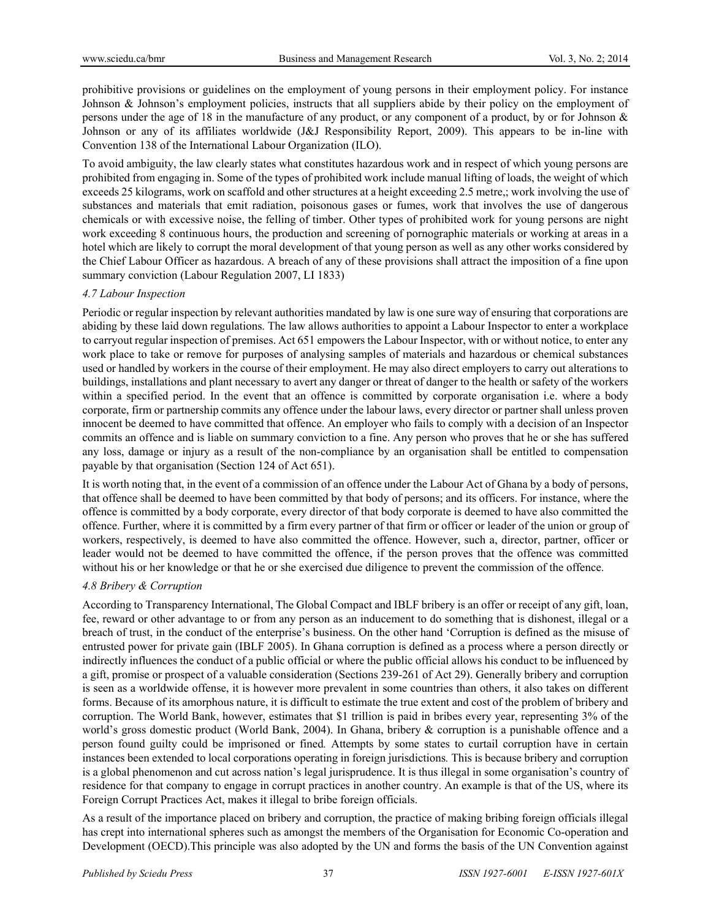prohibitive provisions or guidelines on the employment of young persons in their employment policy. For instance Johnson & Johnson's employment policies, instructs that all suppliers abide by their policy on the employment of persons under the age of 18 in the manufacture of any product, or any component of a product, by or for Johnson & Johnson or any of its affiliates worldwide (J&J Responsibility Report, 2009). This appears to be in-line with Convention 138 of the International Labour Organization (ILO).

To avoid ambiguity, the law clearly states what constitutes hazardous work and in respect of which young persons are prohibited from engaging in. Some of the types of prohibited work include manual lifting of loads, the weight of which exceeds 25 kilograms, work on scaffold and other structures at a height exceeding 2.5 metre,; work involving the use of substances and materials that emit radiation, poisonous gases or fumes, work that involves the use of dangerous chemicals or with excessive noise, the felling of timber. Other types of prohibited work for young persons are night work exceeding 8 continuous hours, the production and screening of pornographic materials or working at areas in a hotel which are likely to corrupt the moral development of that young person as well as any other works considered by the Chief Labour Officer as hazardous. A breach of any of these provisions shall attract the imposition of a fine upon summary conviction (Labour Regulation 2007, LI 1833)

#### *4.7 Labour Inspection*

Periodic or regular inspection by relevant authorities mandated by law is one sure way of ensuring that corporations are abiding by these laid down regulations. The law allows authorities to appoint a Labour Inspector to enter a workplace to carryout regular inspection of premises. Act 651 empowers the Labour Inspector, with or without notice, to enter any work place to take or remove for purposes of analysing samples of materials and hazardous or chemical substances used or handled by workers in the course of their employment. He may also direct employers to carry out alterations to buildings, installations and plant necessary to avert any danger or threat of danger to the health or safety of the workers within a specified period. In the event that an offence is committed by corporate organisation i.e. where a body corporate, firm or partnership commits any offence under the labour laws, every director or partner shall unless proven innocent be deemed to have committed that offence. An employer who fails to comply with a decision of an Inspector commits an offence and is liable on summary conviction to a fine. Any person who proves that he or she has suffered any loss, damage or injury as a result of the non-compliance by an organisation shall be entitled to compensation payable by that organisation (Section 124 of Act 651).

It is worth noting that, in the event of a commission of an offence under the Labour Act of Ghana by a body of persons, that offence shall be deemed to have been committed by that body of persons; and its officers. For instance, where the offence is committed by a body corporate, every director of that body corporate is deemed to have also committed the offence. Further, where it is committed by a firm every partner of that firm or officer or leader of the union or group of workers, respectively, is deemed to have also committed the offence. However, such a, director, partner, officer or leader would not be deemed to have committed the offence, if the person proves that the offence was committed without his or her knowledge or that he or she exercised due diligence to prevent the commission of the offence.

#### *4.8 Bribery & Corruption*

According to Transparency International, The Global Compact and IBLF bribery is an offer or receipt of any gift, loan, fee, reward or other advantage to or from any person as an inducement to do something that is dishonest, illegal or a breach of trust, in the conduct of the enterprise's business. On the other hand 'Corruption is defined as the misuse of entrusted power for private gain (IBLF 2005). In Ghana corruption is defined as a process where a person directly or indirectly influences the conduct of a public official or where the public official allows his conduct to be influenced by a gift, promise or prospect of a valuable consideration (Sections 239-261 of Act 29). Generally bribery and corruption is seen as a worldwide offense, it is however more prevalent in some countries than others, it also takes on different forms. Because of its amorphous nature, it is difficult to estimate the true extent and cost of the problem of bribery and corruption. The World Bank, however, estimates that \$1 trillion is paid in bribes every year, representing 3% of the world's gross domestic product (World Bank, 2004). In Ghana, bribery & corruption is a punishable offence and a person found guilty could be imprisoned or fined*.* Attempts by some states to curtail corruption have in certain instances been extended to local corporations operating in foreign jurisdictions*.* This is because bribery and corruption is a global phenomenon and cut across nation's legal jurisprudence. It is thus illegal in some organisation's country of residence for that company to engage in corrupt practices in another country. An example is that of the US, where its Foreign Corrupt Practices Act, makes it illegal to bribe foreign officials.

As a result of the importance placed on bribery and corruption, the practice of making bribing foreign officials illegal has crept into international spheres such as amongst the members of the Organisation for Economic Co-operation and Development (OECD).This principle was also adopted by the UN and forms the basis of the UN Convention against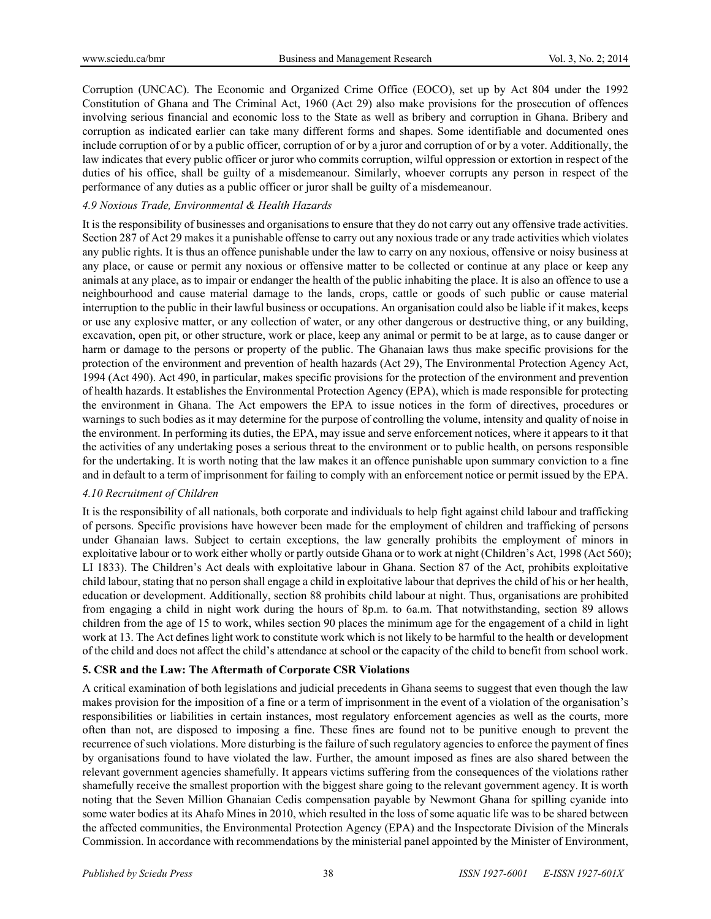Corruption (UNCAC). The Economic and Organized Crime Office (EOCO), set up by Act 804 under the 1992 Constitution of Ghana and The Criminal Act, 1960 (Act 29) also make provisions for the prosecution of offences involving serious financial and economic loss to the State as well as bribery and corruption in Ghana. Bribery and corruption as indicated earlier can take many different forms and shapes. Some identifiable and documented ones include corruption of or by a public officer, corruption of or by a juror and corruption of or by a voter. Additionally, the law indicates that every public officer or juror who commits corruption, wilful oppression or extortion in respect of the duties of his office, shall be guilty of a misdemeanour. Similarly, whoever corrupts any person in respect of the performance of any duties as a public officer or juror shall be guilty of a misdemeanour.

### *4.9 Noxious Trade, Environmental & Health Hazards*

It is the responsibility of businesses and organisations to ensure that they do not carry out any offensive trade activities. Section 287 of Act 29 makes it a punishable offense to carry out any noxious trade or any trade activities which violates any public rights. It is thus an offence punishable under the law to carry on any noxious, offensive or noisy business at any place, or cause or permit any noxious or offensive matter to be collected or continue at any place or keep any animals at any place, as to impair or endanger the health of the public inhabiting the place. It is also an offence to use a neighbourhood and cause material damage to the lands, crops, cattle or goods of such public or cause material interruption to the public in their lawful business or occupations. An organisation could also be liable if it makes, keeps or use any explosive matter, or any collection of water, or any other dangerous or destructive thing, or any building, excavation, open pit, or other structure, work or place, keep any animal or permit to be at large, as to cause danger or harm or damage to the persons or property of the public. The Ghanaian laws thus make specific provisions for the protection of the environment and prevention of health hazards (Act 29), The Environmental Protection Agency Act, 1994 (Act 490). Act 490, in particular, makes specific provisions for the protection of the environment and prevention of health hazards. It establishes the Environmental Protection Agency (EPA), which is made responsible for protecting the environment in Ghana. The Act empowers the EPA to issue notices in the form of directives, procedures or warnings to such bodies as it may determine for the purpose of controlling the volume, intensity and quality of noise in the environment. In performing its duties, the EPA, may issue and serve enforcement notices, where it appears to it that the activities of any undertaking poses a serious threat to the environment or to public health, on persons responsible for the undertaking. It is worth noting that the law makes it an offence punishable upon summary conviction to a fine and in default to a term of imprisonment for failing to comply with an enforcement notice or permit issued by the EPA.

#### *4.10 Recruitment of Children*

It is the responsibility of all nationals, both corporate and individuals to help fight against child labour and trafficking of persons. Specific provisions have however been made for the employment of children and trafficking of persons under Ghanaian laws. Subject to certain exceptions, the law generally prohibits the employment of minors in exploitative labour or to work either wholly or partly outside Ghana or to work at night (Children's Act, 1998 (Act 560); LI 1833). The Children's Act deals with exploitative labour in Ghana. Section 87 of the Act, prohibits exploitative child labour, stating that no person shall engage a child in exploitative labour that deprives the child of his or her health, education or development. Additionally, section 88 prohibits child labour at night. Thus, organisations are prohibited from engaging a child in night work during the hours of 8p.m. to 6a.m. That notwithstanding, section 89 allows children from the age of 15 to work, whiles section 90 places the minimum age for the engagement of a child in light work at 13. The Act defines light work to constitute work which is not likely to be harmful to the health or development of the child and does not affect the child's attendance at school or the capacity of the child to benefit from school work.

#### **5. CSR and the Law: The Aftermath of Corporate CSR Violations**

A critical examination of both legislations and judicial precedents in Ghana seems to suggest that even though the law makes provision for the imposition of a fine or a term of imprisonment in the event of a violation of the organisation's responsibilities or liabilities in certain instances, most regulatory enforcement agencies as well as the courts, more often than not, are disposed to imposing a fine. These fines are found not to be punitive enough to prevent the recurrence of such violations. More disturbing is the failure of such regulatory agencies to enforce the payment of fines by organisations found to have violated the law. Further, the amount imposed as fines are also shared between the relevant government agencies shamefully. It appears victims suffering from the consequences of the violations rather shamefully receive the smallest proportion with the biggest share going to the relevant government agency. It is worth noting that the Seven Million Ghanaian Cedis compensation payable by Newmont Ghana for spilling cyanide into some water bodies at its Ahafo Mines in 2010, which resulted in the loss of some aquatic life was to be shared between the affected communities, the Environmental Protection Agency (EPA) and the Inspectorate Division of the Minerals Commission. In accordance with recommendations by the ministerial panel appointed by the Minister of Environment,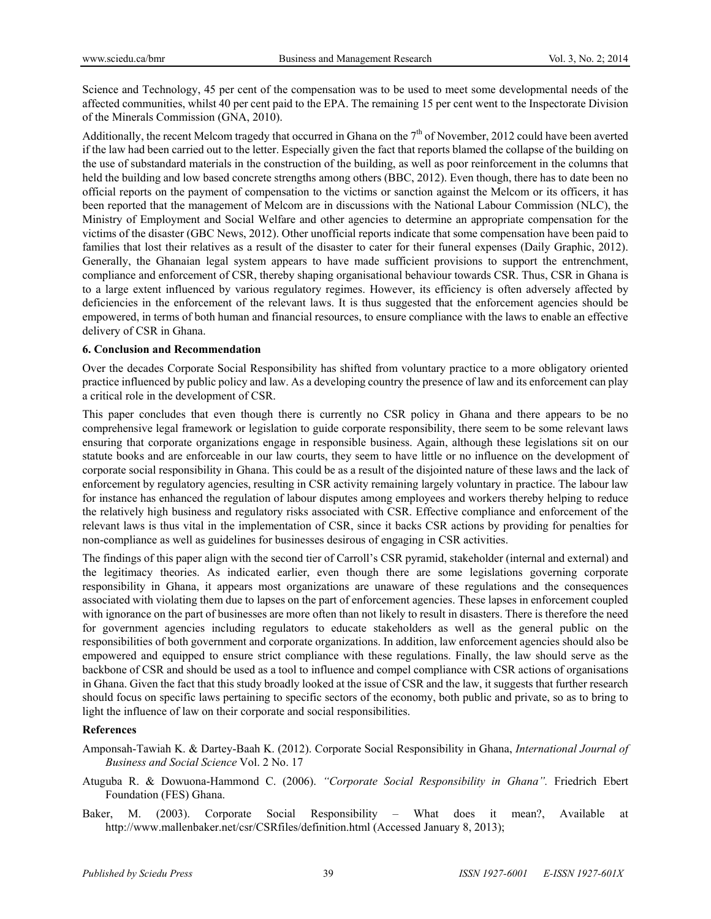Science and Technology, 45 per cent of the compensation was to be used to meet some developmental needs of the affected communities, whilst 40 per cent paid to the EPA. The remaining 15 per cent went to the Inspectorate Division of the Minerals Commission (GNA, 2010).

Additionally, the recent Melcom tragedy that occurred in Ghana on the  $7<sup>th</sup>$  of November, 2012 could have been averted if the law had been carried out to the letter. Especially given the fact that reports blamed the collapse of the building on the use of substandard materials in the construction of the building, as well as poor reinforcement in the columns that held the building and low based concrete strengths among others (BBC, 2012). Even though, there has to date been no official reports on the payment of compensation to the victims or sanction against the Melcom or its officers, it has been reported that the management of Melcom are in discussions with the National Labour Commission (NLC), the Ministry of Employment and Social Welfare and other agencies to determine an appropriate compensation for the victims of the disaster (GBC News, 2012). Other unofficial reports indicate that some compensation have been paid to families that lost their relatives as a result of the disaster to cater for their funeral expenses (Daily Graphic, 2012). Generally, the Ghanaian legal system appears to have made sufficient provisions to support the entrenchment, compliance and enforcement of CSR, thereby shaping organisational behaviour towards CSR. Thus, CSR in Ghana is to a large extent influenced by various regulatory regimes. However, its efficiency is often adversely affected by deficiencies in the enforcement of the relevant laws. It is thus suggested that the enforcement agencies should be empowered, in terms of both human and financial resources, to ensure compliance with the laws to enable an effective delivery of CSR in Ghana.

#### **6. Conclusion and Recommendation**

Over the decades Corporate Social Responsibility has shifted from voluntary practice to a more obligatory oriented practice influenced by public policy and law. As a developing country the presence of law and its enforcement can play a critical role in the development of CSR.

This paper concludes that even though there is currently no CSR policy in Ghana and there appears to be no comprehensive legal framework or legislation to guide corporate responsibility, there seem to be some relevant laws ensuring that corporate organizations engage in responsible business. Again, although these legislations sit on our statute books and are enforceable in our law courts, they seem to have little or no influence on the development of corporate social responsibility in Ghana. This could be as a result of the disjointed nature of these laws and the lack of enforcement by regulatory agencies, resulting in CSR activity remaining largely voluntary in practice. The labour law for instance has enhanced the regulation of labour disputes among employees and workers thereby helping to reduce the relatively high business and regulatory risks associated with CSR. Effective compliance and enforcement of the relevant laws is thus vital in the implementation of CSR, since it backs CSR actions by providing for penalties for non-compliance as well as guidelines for businesses desirous of engaging in CSR activities.

The findings of this paper align with the second tier of Carroll's CSR pyramid, stakeholder (internal and external) and the legitimacy theories. As indicated earlier, even though there are some legislations governing corporate responsibility in Ghana, it appears most organizations are unaware of these regulations and the consequences associated with violating them due to lapses on the part of enforcement agencies. These lapses in enforcement coupled with ignorance on the part of businesses are more often than not likely to result in disasters. There is therefore the need for government agencies including regulators to educate stakeholders as well as the general public on the responsibilities of both government and corporate organizations. In addition, law enforcement agencies should also be empowered and equipped to ensure strict compliance with these regulations. Finally, the law should serve as the backbone of CSR and should be used as a tool to influence and compel compliance with CSR actions of organisations in Ghana. Given the fact that this study broadly looked at the issue of CSR and the law, it suggests that further research should focus on specific laws pertaining to specific sectors of the economy, both public and private, so as to bring to light the influence of law on their corporate and social responsibilities.

#### **References**

- Amponsah-Tawiah K. & Dartey-Baah K. (2012). Corporate Social Responsibility in Ghana, *International Journal of Business and Social Science* Vol. 2 No. 17
- Atuguba R. & Dowuona-Hammond C. (2006). *"Corporate Social Responsibility in Ghana".* Friedrich Ebert Foundation (FES) Ghana.
- Baker, M. (2003). Corporate Social Responsibility What does it mean?, Available at http://www.mallenbaker.net/csr/CSRfiles/definition.html (Accessed January 8, 2013);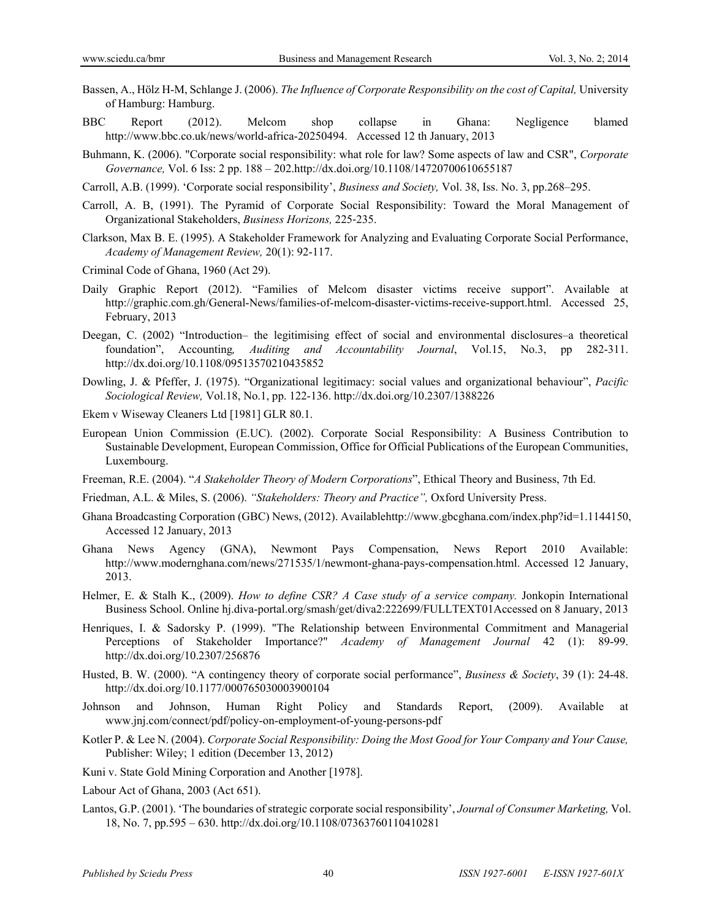- Bassen, A., Hölz H-M, Schlange J. (2006). *The Influence of Corporate Responsibility on the cost of Capital,* University of Hamburg: Hamburg.
- BBC Report (2012). Melcom shop collapse in Ghana: Negligence blamed http://www.bbc.co.uk/news/world-africa-20250494. Accessed 12 th January, 2013
- Buhmann, K. (2006). "Corporate social responsibility: what role for law? Some aspects of law and CSR", *Corporate Governance,* Vol. 6 Iss: 2 pp. 188 – 202.http://dx.doi.org/10.1108/14720700610655187
- Carroll, A.B. (1999). 'Corporate social responsibility', *Business and Society,* Vol. 38, Iss. No. 3, pp.268–295.
- Carroll, A. B, (1991). The Pyramid of Corporate Social Responsibility: Toward the Moral Management of Organizational Stakeholders, *Business Horizons,* 225‐235.
- Clarkson, Max B. E. (1995). A Stakeholder Framework for Analyzing and Evaluating Corporate Social Performance, *Academy of Management Review,* 20(1): 92-117.
- Criminal Code of Ghana, 1960 (Act 29).
- Daily Graphic Report (2012). "Families of Melcom disaster victims receive support". Available at http://graphic.com.gh/General-News/families-of-melcom-disaster-victims-receive-support.html. Accessed 25, February, 2013
- Deegan, C. (2002) "Introduction– the legitimising effect of social and environmental disclosures–a theoretical foundation", Accounting*, Auditing and Accountability Journal*, Vol.15, No.3, pp 282-311. http://dx.doi.org/10.1108/09513570210435852
- Dowling, J. & Pfeffer, J. (1975). "Organizational legitimacy: social values and organizational behaviour", *Pacific Sociological Review,* Vol.18, No.1, pp. 122-136. http://dx.doi.org/10.2307/1388226
- Ekem v Wiseway Cleaners Ltd [1981] GLR 80.1.
- European Union Commission (E.UC). (2002). Corporate Social Responsibility: A Business Contribution to Sustainable Development, European Commission, Office for Official Publications of the European Communities, Luxembourg.
- Freeman, R.E. (2004). "*A Stakeholder Theory of Modern Corporations*", Ethical Theory and Business, 7th Ed.
- Friedman, A.L. & Miles, S. (2006). *"Stakeholders: Theory and Practice",* Oxford University Press.
- Ghana Broadcasting Corporation (GBC) News, (2012). Availablehttp://www.gbcghana.com/index.php?id=1.1144150, Accessed 12 January, 2013
- Ghana News Agency (GNA), Newmont Pays Compensation, News Report 2010 Available: http://www.modernghana.com/news/271535/1/newmont-ghana-pays-compensation.html. Accessed 12 January, 2013.
- Helmer, E. & Stalh K., (2009). *How to define CSR? A Case study of a service company.* Jonkopin International Business School. Online hj.diva-portal.org/smash/get/diva2:222699/FULLTEXT01Accessed on 8 January, 2013
- Henriques, I. & Sadorsky P. (1999). "The Relationship between Environmental Commitment and Managerial Perceptions of Stakeholder Importance?" *Academy of Management Journal* 42 (1): 89-99. http://dx.doi.org/10.2307/256876
- Husted, B. W. (2000). "A contingency theory of corporate social performance", *Business & Society*, 39 (1): 24-48. http://dx.doi.org/10.1177/000765030003900104
- Johnson and Johnson, Human Right Policy and Standards Report, (2009). Available at www.jnj.com/connect/pdf/policy-on-employment-of-young-persons-pdf
- Kotler P. & Lee N. (2004). *Corporate Social Responsibility: Doing the Most Good for Your Company and Your Cause,* Publisher: Wiley; 1 edition (December 13, 2012)
- Kuni v. State Gold Mining Corporation and Another [1978].
- Labour Act of Ghana, 2003 (Act 651).
- Lantos, G.P. (2001). 'The boundaries of strategic corporate social responsibility', *Journal of Consumer Marketing,* Vol. 18, No. 7, pp.595 – 630. http://dx.doi.org/10.1108/07363760110410281